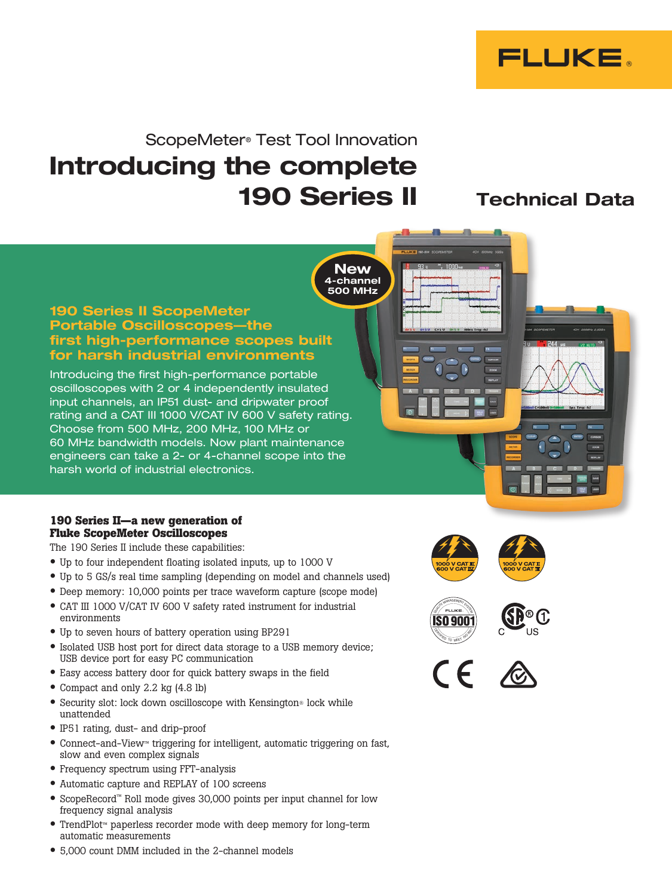

# ScopeMeter® Test Tool Innovation Introducing the complete 190 Series II Technical Data

**New** 4-channel 500 MHz

#### 190 Series II ScopeMeter Portable Oscilloscopes—the first high-performance scopes built for harsh industrial environments

Introducing the first high-performance portable oscilloscopes with 2 or 4 independently insulated input channels, an IP51 dust- and dripwater proof rating and a CAT III 1000 V/CAT IV 600 V safety rating. Choose from 500 MHz, 200 MHz, 100 MHz or 60 MHz bandwidth models. Now plant maintenance engineers can take a 2- or 4-channel scope into the harsh world of industrial electronics.

#### **190 Series II—a new generation of Fluke ScopeMeter Oscilloscopes**

The 190 Series II include these capabilities:

- Up to four independent floating isolated inputs, up to 1000 V
- Up to 5 GS/s real time sampling (depending on model and channels used)
- Deep memory: 10,000 points per trace waveform capture (scope mode)
- CAT III 1000 V/CAT IV 600 V safety rated instrument for industrial environments
- Up to seven hours of battery operation using BP291
- Isolated USB host port for direct data storage to a USB memory device; USB device port for easy PC communication
- Easy access battery door for quick battery swaps in the field
- Compact and only 2.2 kg (4.8 lb)
- Security slot: lock down oscilloscope with Kensington® lock while unattended
- IP51 rating, dust- and drip-proof
- Connect-and-View™ triggering for intelligent, automatic triggering on fast, slow and even complex signals
- Frequency spectrum using FFT-analysis
- Automatic capture and REPLAY of 100 screens
- ScopeRecord™ Roll mode gives 30,000 points per input channel for low frequency signal analysis
- TrendPlot™ paperless recorder mode with deep memory for long-term automatic measurements



CERTIFIED TO MEET SO



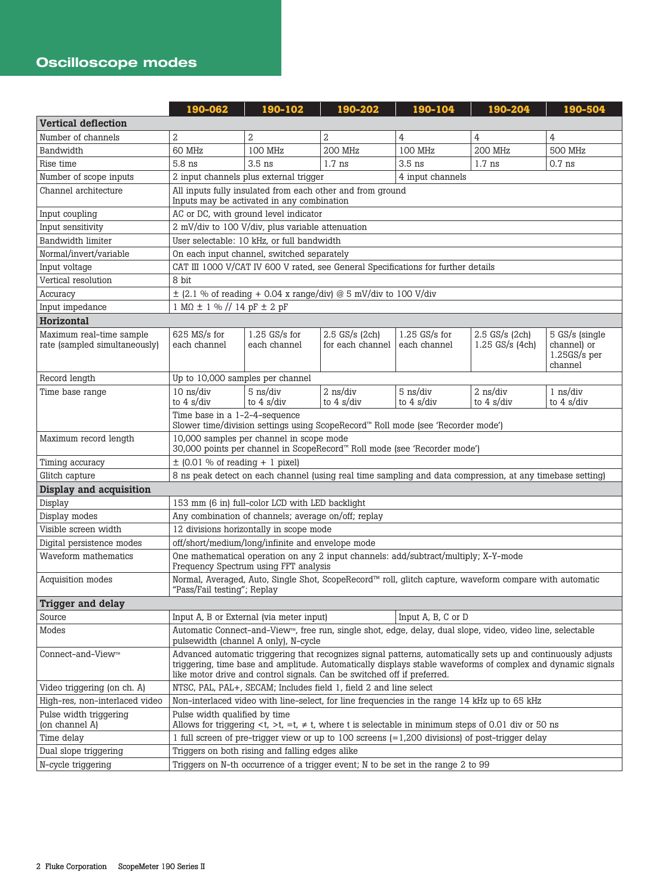# Oscilloscope modes

|                                                           | 190-062                                                                                                                                                                                                                                                                                                 | 190-102                                          | 190-202                                                                           | 190-104                                                         | 190-204                                          | 190-504                                                         |  |
|-----------------------------------------------------------|---------------------------------------------------------------------------------------------------------------------------------------------------------------------------------------------------------------------------------------------------------------------------------------------------------|--------------------------------------------------|-----------------------------------------------------------------------------------|-----------------------------------------------------------------|--------------------------------------------------|-----------------------------------------------------------------|--|
| <b>Vertical deflection</b>                                |                                                                                                                                                                                                                                                                                                         |                                                  |                                                                                   |                                                                 |                                                  |                                                                 |  |
| Number of channels                                        | $\overline{2}$                                                                                                                                                                                                                                                                                          | $\overline{2}$                                   | $\overline{2}$                                                                    | 4                                                               | 4                                                | 4                                                               |  |
| Bandwidth                                                 | 60 MHz                                                                                                                                                                                                                                                                                                  | 100 MHz                                          | <b>200 MHz</b>                                                                    | 100 MHz                                                         | <b>200 MHz</b>                                   | <b>500 MHz</b>                                                  |  |
| Rise time                                                 | 5.8 ns                                                                                                                                                                                                                                                                                                  | $3.5$ ns                                         | $1.7$ ns                                                                          | $3.5$ ns                                                        | $1.7$ ns                                         | $0.7$ ns                                                        |  |
| Number of scope inputs                                    |                                                                                                                                                                                                                                                                                                         | 2 input channels plus external trigger           |                                                                                   | 4 input channels                                                |                                                  |                                                                 |  |
| Channel architecture                                      |                                                                                                                                                                                                                                                                                                         | Inputs may be activated in any combination       | All inputs fully insulated from each other and from ground                        |                                                                 |                                                  |                                                                 |  |
| Input coupling                                            |                                                                                                                                                                                                                                                                                                         | AC or DC, with ground level indicator            |                                                                                   |                                                                 |                                                  |                                                                 |  |
| Input sensitivity                                         |                                                                                                                                                                                                                                                                                                         | 2 mV/div to 100 V/div, plus variable attenuation |                                                                                   |                                                                 |                                                  |                                                                 |  |
| Bandwidth limiter                                         |                                                                                                                                                                                                                                                                                                         | User selectable: 10 kHz, or full bandwidth       |                                                                                   |                                                                 |                                                  |                                                                 |  |
| Normal/invert/variable                                    |                                                                                                                                                                                                                                                                                                         | On each input channel, switched separately       |                                                                                   |                                                                 |                                                  |                                                                 |  |
| Input voltage                                             |                                                                                                                                                                                                                                                                                                         |                                                  | CAT III 1000 V/CAT IV 600 V rated, see General Specifications for further details |                                                                 |                                                  |                                                                 |  |
| Vertical resolution                                       | 8 bit                                                                                                                                                                                                                                                                                                   |                                                  |                                                                                   |                                                                 |                                                  |                                                                 |  |
| Accuracy                                                  |                                                                                                                                                                                                                                                                                                         |                                                  | $\pm$ (2.1 % of reading + 0.04 x range/div) @ 5 mV/div to 100 V/div               |                                                                 |                                                  |                                                                 |  |
| Input impedance                                           | $1 M\Omega \pm 1 \%$ // $14 pF \pm 2 pF$                                                                                                                                                                                                                                                                |                                                  |                                                                                   |                                                                 |                                                  |                                                                 |  |
| Horizontal                                                |                                                                                                                                                                                                                                                                                                         |                                                  |                                                                                   |                                                                 |                                                  |                                                                 |  |
| Maximum real-time sample<br>rate (sampled simultaneously) | $625$ MS/s for<br>each channel                                                                                                                                                                                                                                                                          | $1.25$ GS/s for<br>each channel                  | 2.5 GS/s (2ch)<br>for each channel                                                | $1.25$ GS/s for<br>each channel                                 | 2.5 GS/s (2ch)<br>$1.25$ GS/s (4ch)              | 5 GS/s (single<br>channel) or<br>$1.25GS/s$ per<br>channel      |  |
| Record length                                             | Up to 10,000 samples per channel                                                                                                                                                                                                                                                                        |                                                  |                                                                                   |                                                                 |                                                  |                                                                 |  |
| Time base range                                           | $10$ ns/div<br>to $4 \frac{\text{s}}{\text{div}}$                                                                                                                                                                                                                                                       | 5 ns/div<br>to $4 \frac{\text{s}}{\text{div}}$   | $2$ ns/div<br>to $4 \frac{\text{s}}{\text{div}}$                                  | $5 \text{ ns}/\text{div}$<br>to $4 \frac{\text{s}}{\text{div}}$ | $2$ ns/div<br>to $4 \frac{\text{s}}{\text{div}}$ | $1 \text{ ns}/\text{div}$<br>to $4 \frac{\text{s}}{\text{div}}$ |  |
|                                                           | Time base in a 1-2-4-sequence<br>Slower time/division settings using ScopeRecord™ Roll mode (see 'Recorder mode')                                                                                                                                                                                       |                                                  |                                                                                   |                                                                 |                                                  |                                                                 |  |
| Maximum record length                                     | 10,000 samples per channel in scope mode<br>30,000 points per channel in ScopeRecord™ Roll mode (see 'Recorder mode')                                                                                                                                                                                   |                                                  |                                                                                   |                                                                 |                                                  |                                                                 |  |
| Timing accuracy                                           | $\pm$ (0.01 % of reading + 1 pixel)                                                                                                                                                                                                                                                                     |                                                  |                                                                                   |                                                                 |                                                  |                                                                 |  |
| Glitch capture                                            | 8 ns peak detect on each channel (using real time sampling and data compression, at any timebase setting)                                                                                                                                                                                               |                                                  |                                                                                   |                                                                 |                                                  |                                                                 |  |
| Display and acquisition                                   |                                                                                                                                                                                                                                                                                                         |                                                  |                                                                                   |                                                                 |                                                  |                                                                 |  |
| Display                                                   | 153 mm (6 in) full-color LCD with LED backlight                                                                                                                                                                                                                                                         |                                                  |                                                                                   |                                                                 |                                                  |                                                                 |  |
| Display modes                                             | Any combination of channels; average on/off; replay                                                                                                                                                                                                                                                     |                                                  |                                                                                   |                                                                 |                                                  |                                                                 |  |
| Visible screen width                                      | 12 divisions horizontally in scope mode                                                                                                                                                                                                                                                                 |                                                  |                                                                                   |                                                                 |                                                  |                                                                 |  |
| Digital persistence modes                                 | off/short/medium/long/infinite and envelope mode                                                                                                                                                                                                                                                        |                                                  |                                                                                   |                                                                 |                                                  |                                                                 |  |
| Waveform mathematics                                      | One mathematical operation on any 2 input channels: add/subtract/multiply; X-Y-mode<br>Frequency Spectrum using FFT analysis                                                                                                                                                                            |                                                  |                                                                                   |                                                                 |                                                  |                                                                 |  |
| Acquisition modes                                         | Normal, Averaged, Auto, Single Shot, ScopeRecord™ roll, glitch capture, waveform compare with automatic<br>"Pass/Fail testing"; Replay                                                                                                                                                                  |                                                  |                                                                                   |                                                                 |                                                  |                                                                 |  |
| <b>Trigger and delay</b>                                  |                                                                                                                                                                                                                                                                                                         |                                                  |                                                                                   |                                                                 |                                                  |                                                                 |  |
| Source                                                    | Input A, B, C or D<br>Input A, B or External (via meter input)                                                                                                                                                                                                                                          |                                                  |                                                                                   |                                                                 |                                                  |                                                                 |  |
| Modes                                                     | Automatic Connect-and-View™, free run, single shot, edge, delay, dual slope, video, video line, selectable<br>pulsewidth (channel A only), N-cycle                                                                                                                                                      |                                                  |                                                                                   |                                                                 |                                                  |                                                                 |  |
| Connect-and-View <sub>™</sub>                             | Advanced automatic triggering that recognizes signal patterns, automatically sets up and continuously adjusts<br>triggering, time base and amplitude. Automatically displays stable waveforms of complex and dynamic signals<br>like motor drive and control signals. Can be switched off if preferred. |                                                  |                                                                                   |                                                                 |                                                  |                                                                 |  |
| Video triggering (on ch. A)                               | NTSC, PAL, PAL+, SECAM; Includes field 1, field 2 and line select                                                                                                                                                                                                                                       |                                                  |                                                                                   |                                                                 |                                                  |                                                                 |  |
| High-res, non-interlaced video                            | Non-interlaced video with line-select, for line frequencies in the range 14 kHz up to 65 kHz                                                                                                                                                                                                            |                                                  |                                                                                   |                                                                 |                                                  |                                                                 |  |
| Pulse width triggering                                    | Pulse width qualified by time                                                                                                                                                                                                                                                                           |                                                  |                                                                                   |                                                                 |                                                  |                                                                 |  |
| (on channel A)                                            | Allows for triggering $\lt t$ , $\gt t$ , $\neq t$ , where t is selectable in minimum steps of 0.01 div or 50 ns                                                                                                                                                                                        |                                                  |                                                                                   |                                                                 |                                                  |                                                                 |  |
| Time delay                                                | 1 full screen of pre-trigger view or up to 100 screens (=1,200 divisions) of post-trigger delay                                                                                                                                                                                                         |                                                  |                                                                                   |                                                                 |                                                  |                                                                 |  |
| Dual slope triggering                                     | Triggers on both rising and falling edges alike                                                                                                                                                                                                                                                         |                                                  |                                                                                   |                                                                 |                                                  |                                                                 |  |
| N-cycle triggering                                        | Triggers on N-th occurrence of a trigger event; N to be set in the range 2 to 99                                                                                                                                                                                                                        |                                                  |                                                                                   |                                                                 |                                                  |                                                                 |  |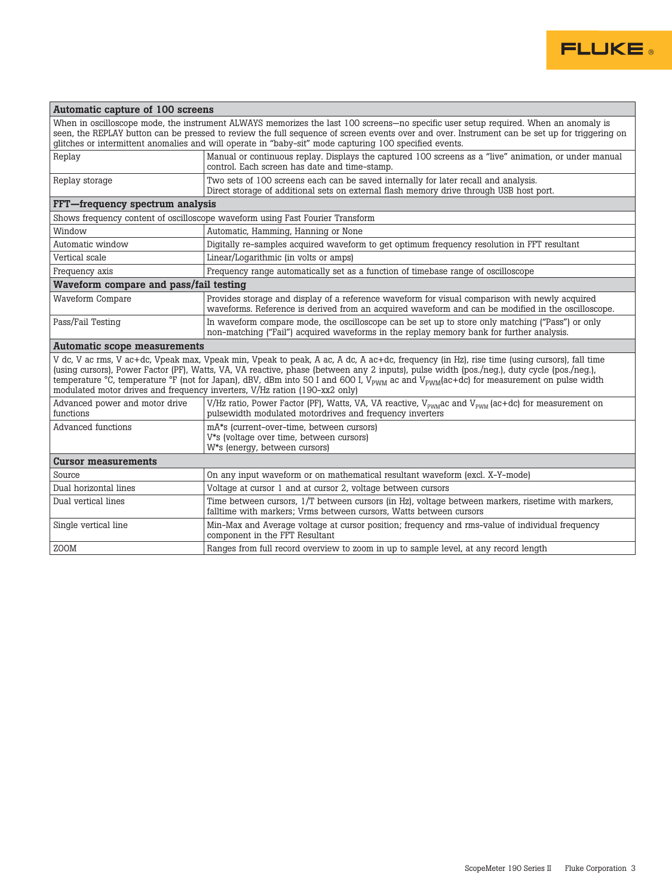

Ī.

| Automatic capture of 100 screens            |                                                                                                                                                                                                                                                                                                                                                                                                                                                                                                                                         |  |  |  |  |  |
|---------------------------------------------|-----------------------------------------------------------------------------------------------------------------------------------------------------------------------------------------------------------------------------------------------------------------------------------------------------------------------------------------------------------------------------------------------------------------------------------------------------------------------------------------------------------------------------------------|--|--|--|--|--|
|                                             | When in oscilloscope mode, the instrument ALWAYS memorizes the last 100 screens—no specific user setup required. When an anomaly is<br>seen, the REPLAY button can be pressed to review the full sequence of screen events over and over. Instrument can be set up for triggering on<br>glitches or intermittent anomalies and will operate in "baby-sit" mode capturing 100 specified events.                                                                                                                                          |  |  |  |  |  |
| Replay                                      | Manual or continuous replay. Displays the captured 100 screens as a "live" animation, or under manual<br>control. Each screen has date and time-stamp.                                                                                                                                                                                                                                                                                                                                                                                  |  |  |  |  |  |
| Replay storage                              | Two sets of 100 screens each can be saved internally for later recall and analysis.<br>Direct storage of additional sets on external flash memory drive through USB host port.                                                                                                                                                                                                                                                                                                                                                          |  |  |  |  |  |
| FFT-frequency spectrum analysis             |                                                                                                                                                                                                                                                                                                                                                                                                                                                                                                                                         |  |  |  |  |  |
|                                             | Shows frequency content of oscilloscope waveform using Fast Fourier Transform                                                                                                                                                                                                                                                                                                                                                                                                                                                           |  |  |  |  |  |
| Window                                      | Automatic, Hamming, Hanning or None                                                                                                                                                                                                                                                                                                                                                                                                                                                                                                     |  |  |  |  |  |
| Automatic window                            | Digitally re-samples acquired waveform to get optimum frequency resolution in FFT resultant                                                                                                                                                                                                                                                                                                                                                                                                                                             |  |  |  |  |  |
| Vertical scale                              | Linear/Logarithmic (in volts or amps)                                                                                                                                                                                                                                                                                                                                                                                                                                                                                                   |  |  |  |  |  |
| Frequency axis                              | Frequency range automatically set as a function of timebase range of oscilloscope                                                                                                                                                                                                                                                                                                                                                                                                                                                       |  |  |  |  |  |
| Waveform compare and pass/fail testing      |                                                                                                                                                                                                                                                                                                                                                                                                                                                                                                                                         |  |  |  |  |  |
| <b>Waveform Compare</b>                     | Provides storage and display of a reference waveform for visual comparison with newly acquired<br>waveforms. Reference is derived from an acquired waveform and can be modified in the oscilloscope.                                                                                                                                                                                                                                                                                                                                    |  |  |  |  |  |
| Pass/Fail Testing                           | In waveform compare mode, the oscilloscope can be set up to store only matching ("Pass") or only<br>non-matching ("Fail") acquired waveforms in the replay memory bank for further analysis.                                                                                                                                                                                                                                                                                                                                            |  |  |  |  |  |
| Automatic scope measurements                |                                                                                                                                                                                                                                                                                                                                                                                                                                                                                                                                         |  |  |  |  |  |
|                                             | V dc, V ac rms, V ac+dc, Vpeak max, Vpeak min, Vpeak to peak, A ac, A dc, A ac+dc, frequency (in Hz), rise time (using cursors), fall time<br>(using cursors), Power Factor (PF), Watts, VA, VA reactive, phase (between any 2 inputs), pulse width (pos./neg.), duty cycle (pos./neg.),<br>temperature °C, temperature °F (not for Japan), dBV, dBm into 50 I and 600 I, $V_{\text{PWM}}$ ac and $V_{\text{PWM}}$ (ac+dc) for measurement on pulse width<br>modulated motor drives and frequency inverters, V/Hz ration (190-xx2 only) |  |  |  |  |  |
| Advanced power and motor drive<br>functions | V/Hz ratio, Power Factor (PF), Watts, VA, VA reactive, $V_{\text{FWM}}$ ac and $V_{\text{FWM}}$ (ac+dc) for measurement on<br>pulsewidth modulated motordrives and frequency inverters                                                                                                                                                                                                                                                                                                                                                  |  |  |  |  |  |
| Advanced functions                          | mA*s (current-over-time, between cursors)<br>V*s (voltage over time, between cursors)<br>W*s (energy, between cursors)                                                                                                                                                                                                                                                                                                                                                                                                                  |  |  |  |  |  |
| <b>Cursor measurements</b>                  |                                                                                                                                                                                                                                                                                                                                                                                                                                                                                                                                         |  |  |  |  |  |
| Source                                      | On any input waveform or on mathematical resultant waveform (excl. X-Y-mode)                                                                                                                                                                                                                                                                                                                                                                                                                                                            |  |  |  |  |  |
| Dual horizontal lines                       | Voltage at cursor 1 and at cursor 2, voltage between cursors                                                                                                                                                                                                                                                                                                                                                                                                                                                                            |  |  |  |  |  |
| Dual vertical lines                         | Time between cursors, 1/T between cursors (in Hz), voltage between markers, risetime with markers,<br>falltime with markers; Vrms between cursors, Watts between cursors                                                                                                                                                                                                                                                                                                                                                                |  |  |  |  |  |
| Single vertical line                        | Min-Max and Average voltage at cursor position; frequency and rms-value of individual frequency<br>component in the FFT Resultant                                                                                                                                                                                                                                                                                                                                                                                                       |  |  |  |  |  |
| ZOOM                                        | Ranges from full record overview to zoom in up to sample level, at any record length                                                                                                                                                                                                                                                                                                                                                                                                                                                    |  |  |  |  |  |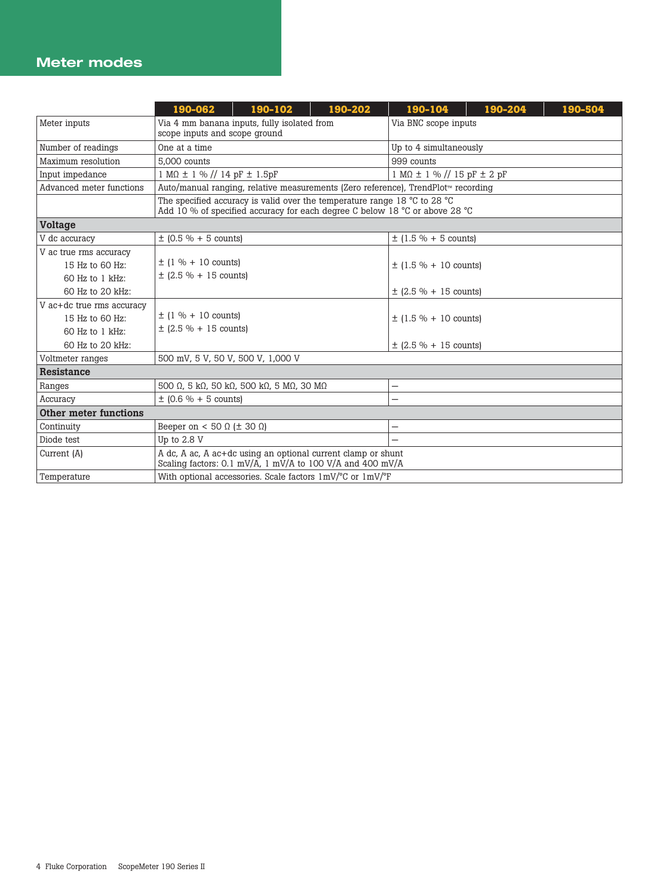### Meter modes

|                                                       | 190-062                                                                                                                   | 190-102                                                                                                                                                                      | 190-202 | 190-104                                  | 190-204 | 190-504 |  |
|-------------------------------------------------------|---------------------------------------------------------------------------------------------------------------------------|------------------------------------------------------------------------------------------------------------------------------------------------------------------------------|---------|------------------------------------------|---------|---------|--|
| Meter inputs                                          | Via 4 mm banana inputs, fully isolated from<br>scope inputs and scope ground                                              |                                                                                                                                                                              |         | Via BNC scope inputs                     |         |         |  |
| Number of readings                                    | One at a time                                                                                                             |                                                                                                                                                                              |         | Up to 4 simultaneously                   |         |         |  |
| Maximum resolution                                    | 5.000 counts                                                                                                              |                                                                                                                                                                              |         | 999 counts                               |         |         |  |
| Input impedance                                       | $1 M\Omega \pm 1 \%$ // 14 pF $\pm$ 1.5pF                                                                                 |                                                                                                                                                                              |         | $1 M\Omega \pm 1 \%$ // 15 pF $\pm 2$ pF |         |         |  |
| Advanced meter functions                              |                                                                                                                           | Auto/manual ranging, relative measurements (Zero reference), TrendPlot™ recording                                                                                            |         |                                          |         |         |  |
|                                                       |                                                                                                                           | The specified accuracy is valid over the temperature range 18 $^{\circ}$ C to 28 $^{\circ}$ C<br>Add 10 % of specified accuracy for each degree C below 18 °C or above 28 °C |         |                                          |         |         |  |
| <b>Voltage</b>                                        |                                                                                                                           |                                                                                                                                                                              |         |                                          |         |         |  |
| V dc accuracy                                         | $\pm$ (0.5 % + 5 counts)                                                                                                  |                                                                                                                                                                              |         | $\pm$ (1.5 % + 5 counts)                 |         |         |  |
| V ac true rms accuracy                                |                                                                                                                           |                                                                                                                                                                              |         |                                          |         |         |  |
| 15 Hz to 60 Hz:                                       | $\pm$ (1 % + 10 counts)                                                                                                   |                                                                                                                                                                              |         | $\pm$ (1.5 % + 10 counts)                |         |         |  |
| 60 Hz to 1 kHz:                                       | $\pm$ (2.5 % + 15 counts)                                                                                                 |                                                                                                                                                                              |         |                                          |         |         |  |
| 60 Hz to 20 kHz:                                      |                                                                                                                           |                                                                                                                                                                              |         | $\pm$ (2.5 % + 15 counts)                |         |         |  |
| V ac+dc true rms accuracy                             |                                                                                                                           |                                                                                                                                                                              |         |                                          |         |         |  |
| 15 Hz to 60 Hz:                                       | $\pm$ (1 % + 10 counts)<br>$\pm$ (2.5 % + 15 counts)                                                                      |                                                                                                                                                                              |         | $\pm$ (1.5 % + 10 counts)                |         |         |  |
| 60 Hz to 1 kHz:                                       |                                                                                                                           |                                                                                                                                                                              |         |                                          |         |         |  |
| 60 Hz to 20 kHz:                                      |                                                                                                                           |                                                                                                                                                                              |         | $\pm$ (2.5 % + 15 counts)                |         |         |  |
| Voltmeter ranges<br>500 mV, 5 V, 50 V, 500 V, 1,000 V |                                                                                                                           |                                                                                                                                                                              |         |                                          |         |         |  |
| Resistance                                            |                                                                                                                           |                                                                                                                                                                              |         |                                          |         |         |  |
| Ranges                                                |                                                                                                                           | 500 Ω, 5 kΩ, 50 kΩ, 500 kΩ, 5 MΩ, 30 MΩ                                                                                                                                      |         |                                          |         |         |  |
| Accuracy                                              | $\pm$ (0.6 % + 5 counts)                                                                                                  |                                                                                                                                                                              |         | —                                        |         |         |  |
| Other meter functions                                 |                                                                                                                           |                                                                                                                                                                              |         |                                          |         |         |  |
| Continuity                                            | Beeper on < 50 $\Omega$ ( $\pm$ 30 $\Omega$ )                                                                             |                                                                                                                                                                              |         |                                          |         |         |  |
| Diode test                                            | Up to 2.8 V                                                                                                               |                                                                                                                                                                              |         | $\equiv$                                 |         |         |  |
| Current (A)                                           | A dc, A ac, A ac+dc using an optional current clamp or shunt<br>Scaling factors: 0.1 mV/A, 1 mV/A to 100 V/A and 400 mV/A |                                                                                                                                                                              |         |                                          |         |         |  |
| Temperature                                           | With optional accessories. Scale factors 1mV/°C or 1mV/°F                                                                 |                                                                                                                                                                              |         |                                          |         |         |  |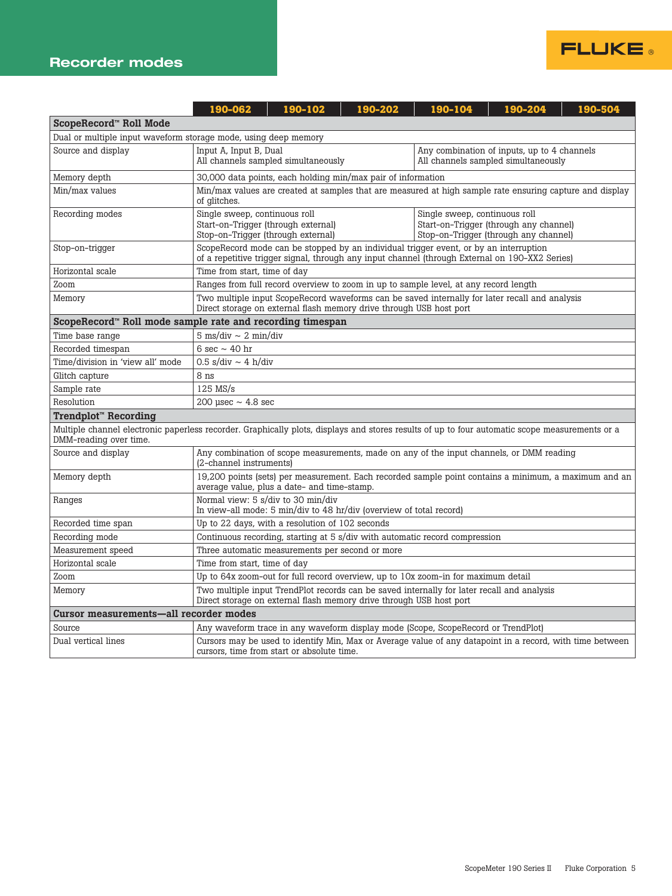

|                                                                                                                                                                          | 190-062                                                                                                                                                           | 190-102                                                                                                                                                                                                                        | 190-202 | 190-104                                                                               | 190-204                                                                                        | 190-504 |  |
|--------------------------------------------------------------------------------------------------------------------------------------------------------------------------|-------------------------------------------------------------------------------------------------------------------------------------------------------------------|--------------------------------------------------------------------------------------------------------------------------------------------------------------------------------------------------------------------------------|---------|---------------------------------------------------------------------------------------|------------------------------------------------------------------------------------------------|---------|--|
| ScopeRecord™ Roll Mode                                                                                                                                                   |                                                                                                                                                                   |                                                                                                                                                                                                                                |         |                                                                                       |                                                                                                |         |  |
| Dual or multiple input waveform storage mode, using deep memory                                                                                                          |                                                                                                                                                                   |                                                                                                                                                                                                                                |         |                                                                                       |                                                                                                |         |  |
| Source and display                                                                                                                                                       | Input A, Input B, Dual<br>All channels sampled simultaneously                                                                                                     |                                                                                                                                                                                                                                |         | Any combination of inputs, up to 4 channels<br>All channels sampled simultaneously    |                                                                                                |         |  |
| Memory depth                                                                                                                                                             |                                                                                                                                                                   | 30,000 data points, each holding min/max pair of information                                                                                                                                                                   |         |                                                                                       |                                                                                                |         |  |
| Min/max values                                                                                                                                                           | of glitches.                                                                                                                                                      | Min/max values are created at samples that are measured at high sample rate ensuring capture and display                                                                                                                       |         |                                                                                       |                                                                                                |         |  |
| Recording modes                                                                                                                                                          |                                                                                                                                                                   | Single sweep, continuous roll<br>Single sweep, continuous roll<br>Start-on-Trigger (through external)<br>Start-on-Trigger (through any channel)<br>Stop-on-Trigger (through external)<br>Stop-on-Trigger (through any channel) |         |                                                                                       |                                                                                                |         |  |
| Stop-on-trigger                                                                                                                                                          |                                                                                                                                                                   |                                                                                                                                                                                                                                |         | ScopeRecord mode can be stopped by an individual trigger event, or by an interruption | of a repetitive trigger signal, through any input channel (through External on 190–XX2 Series) |         |  |
| Horizontal scale                                                                                                                                                         | Time from start, time of day                                                                                                                                      |                                                                                                                                                                                                                                |         |                                                                                       |                                                                                                |         |  |
| Zoom                                                                                                                                                                     |                                                                                                                                                                   |                                                                                                                                                                                                                                |         | Ranges from full record overview to zoom in up to sample level, at any record length  |                                                                                                |         |  |
| Memory                                                                                                                                                                   |                                                                                                                                                                   | Two multiple input ScopeRecord waveforms can be saved internally for later recall and analysis<br>Direct storage on external flash memory drive through USB host port                                                          |         |                                                                                       |                                                                                                |         |  |
| ScopeRecord™ Roll mode sample rate and recording timespan                                                                                                                |                                                                                                                                                                   |                                                                                                                                                                                                                                |         |                                                                                       |                                                                                                |         |  |
| Time base range                                                                                                                                                          | $5 \text{ ms}/\text{div} \sim 2 \text{ min}/\text{div}$                                                                                                           |                                                                                                                                                                                                                                |         |                                                                                       |                                                                                                |         |  |
| Recorded timespan                                                                                                                                                        | 6 sec $\sim$ 40 hr                                                                                                                                                |                                                                                                                                                                                                                                |         |                                                                                       |                                                                                                |         |  |
| Time/division in 'view all' mode                                                                                                                                         | $0.5$ s/div ~ 4 h/div                                                                                                                                             |                                                                                                                                                                                                                                |         |                                                                                       |                                                                                                |         |  |
| Glitch capture                                                                                                                                                           | 8 ns                                                                                                                                                              |                                                                                                                                                                                                                                |         |                                                                                       |                                                                                                |         |  |
| Sample rate                                                                                                                                                              | $125$ MS/s                                                                                                                                                        |                                                                                                                                                                                                                                |         |                                                                                       |                                                                                                |         |  |
| Resolution                                                                                                                                                               | 200 usec $\sim$ 4.8 sec                                                                                                                                           |                                                                                                                                                                                                                                |         |                                                                                       |                                                                                                |         |  |
| Trendplot <sup>™</sup> Recording                                                                                                                                         |                                                                                                                                                                   |                                                                                                                                                                                                                                |         |                                                                                       |                                                                                                |         |  |
| Multiple channel electronic paperless recorder. Graphically plots, displays and stores results of up to four automatic scope measurements or a<br>DMM-reading over time. |                                                                                                                                                                   |                                                                                                                                                                                                                                |         |                                                                                       |                                                                                                |         |  |
| Source and display                                                                                                                                                       | Any combination of scope measurements, made on any of the input channels, or DMM reading<br>(2-channel instruments)                                               |                                                                                                                                                                                                                                |         |                                                                                       |                                                                                                |         |  |
| Memory depth                                                                                                                                                             | 19,200 points (sets) per measurement. Each recorded sample point contains a minimum, a maximum and an<br>average value, plus a date- and time-stamp.              |                                                                                                                                                                                                                                |         |                                                                                       |                                                                                                |         |  |
| Ranges                                                                                                                                                                   | Normal view: 5 s/div to 30 min/div<br>In view-all mode: 5 min/div to 48 hr/div (overview of total record)                                                         |                                                                                                                                                                                                                                |         |                                                                                       |                                                                                                |         |  |
| Recorded time span                                                                                                                                                       | Up to 22 days, with a resolution of 102 seconds                                                                                                                   |                                                                                                                                                                                                                                |         |                                                                                       |                                                                                                |         |  |
| Recording mode                                                                                                                                                           | Continuous recording, starting at 5 s/div with automatic record compression                                                                                       |                                                                                                                                                                                                                                |         |                                                                                       |                                                                                                |         |  |
| Measurement speed                                                                                                                                                        | Three automatic measurements per second or more                                                                                                                   |                                                                                                                                                                                                                                |         |                                                                                       |                                                                                                |         |  |
| Horizontal scale                                                                                                                                                         | Time from start, time of day                                                                                                                                      |                                                                                                                                                                                                                                |         |                                                                                       |                                                                                                |         |  |
| Zoom                                                                                                                                                                     |                                                                                                                                                                   |                                                                                                                                                                                                                                |         | Up to 64x zoom-out for full record overview, up to 10x zoom-in for maximum detail     |                                                                                                |         |  |
| Memory                                                                                                                                                                   | Two multiple input TrendPlot records can be saved internally for later recall and analysis<br>Direct storage on external flash memory drive through USB host port |                                                                                                                                                                                                                                |         |                                                                                       |                                                                                                |         |  |
| Cursor measurements-all recorder modes                                                                                                                                   |                                                                                                                                                                   |                                                                                                                                                                                                                                |         |                                                                                       |                                                                                                |         |  |
| Source                                                                                                                                                                   |                                                                                                                                                                   |                                                                                                                                                                                                                                |         | Any waveform trace in any waveform display mode (Scope, ScopeRecord or TrendPlot)     |                                                                                                |         |  |
| Dual vertical lines                                                                                                                                                      | Cursors may be used to identify Min, Max or Average value of any datapoint in a record, with time between<br>cursors, time from start or absolute time.           |                                                                                                                                                                                                                                |         |                                                                                       |                                                                                                |         |  |

**FLUKE**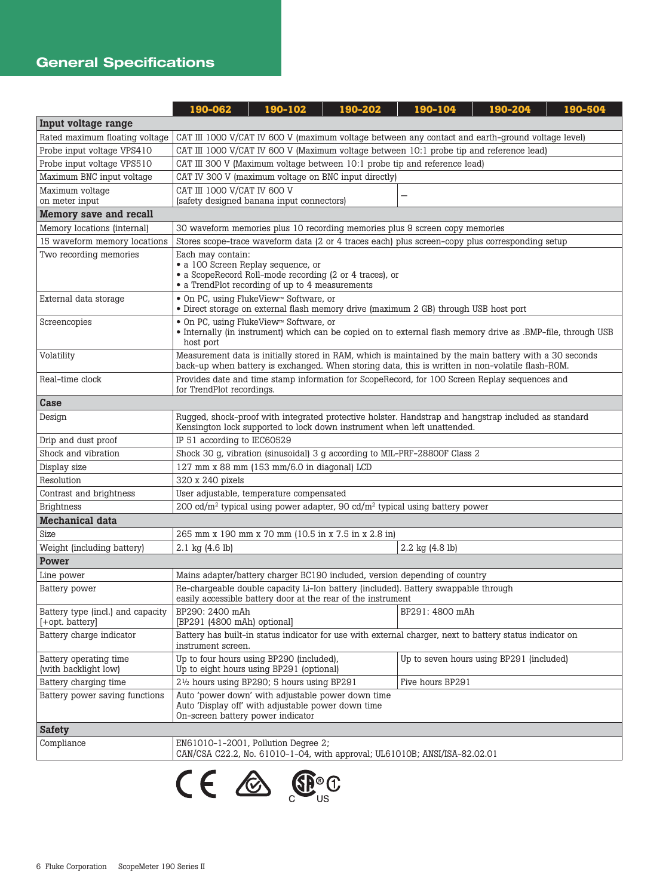## General Specifications

|                                                      | 190-062                                                                                                                                                                         | 190-102                                                                                                                                                            | 190-202                                                                              | 190-104          | 190-204                                                                                                                                                                                                    | 190-504 |
|------------------------------------------------------|---------------------------------------------------------------------------------------------------------------------------------------------------------------------------------|--------------------------------------------------------------------------------------------------------------------------------------------------------------------|--------------------------------------------------------------------------------------|------------------|------------------------------------------------------------------------------------------------------------------------------------------------------------------------------------------------------------|---------|
| Input voltage range                                  |                                                                                                                                                                                 |                                                                                                                                                                    |                                                                                      |                  |                                                                                                                                                                                                            |         |
| Rated maximum floating voltage                       | CAT III 1000 V/CAT IV 600 V (maximum voltage between any contact and earth-ground voltage level)                                                                                |                                                                                                                                                                    |                                                                                      |                  |                                                                                                                                                                                                            |         |
| Probe input voltage VPS410                           | CAT III 1000 V/CAT IV 600 V (Maximum voltage between 10:1 probe tip and reference lead)                                                                                         |                                                                                                                                                                    |                                                                                      |                  |                                                                                                                                                                                                            |         |
| Probe input voltage VPS510                           | CAT III 300 V (Maximum voltage between 10:1 probe tip and reference lead)                                                                                                       |                                                                                                                                                                    |                                                                                      |                  |                                                                                                                                                                                                            |         |
| Maximum BNC input voltage                            |                                                                                                                                                                                 | CAT IV 300 V (maximum voltage on BNC input directly)                                                                                                               |                                                                                      |                  |                                                                                                                                                                                                            |         |
| Maximum voltage<br>on meter input                    | CAT III 1000 V/CAT IV 600 V<br>(safety designed banana input connectors)                                                                                                        |                                                                                                                                                                    |                                                                                      |                  |                                                                                                                                                                                                            |         |
| Memory save and recall                               |                                                                                                                                                                                 |                                                                                                                                                                    |                                                                                      |                  |                                                                                                                                                                                                            |         |
| Memory locations (internal)                          | 30 waveform memories plus 10 recording memories plus 9 screen copy memories                                                                                                     |                                                                                                                                                                    |                                                                                      |                  |                                                                                                                                                                                                            |         |
| 15 waveform memory locations                         |                                                                                                                                                                                 |                                                                                                                                                                    |                                                                                      |                  | Stores scope-trace waveform data (2 or 4 traces each) plus screen-copy plus corresponding setup                                                                                                            |         |
| Two recording memories                               | Each may contain:<br>• a 100 Screen Replay sequence, or<br>• a ScopeRecord Roll-mode recording (2 or 4 traces), or<br>• a TrendPlot recording of up to 4 measurements           |                                                                                                                                                                    |                                                                                      |                  |                                                                                                                                                                                                            |         |
| External data storage                                | • On PC, using FlukeView <sup>™</sup> Software, or                                                                                                                              |                                                                                                                                                                    | · Direct storage on external flash memory drive (maximum 2 GB) through USB host port |                  |                                                                                                                                                                                                            |         |
| Screencopies                                         | host port                                                                                                                                                                       | • On PC, using FlukeView <sup>™</sup> Software, or<br>• Internally (in instrument) which can be copied on to external flash memory drive as .BMP-file, through USB |                                                                                      |                  |                                                                                                                                                                                                            |         |
| Volatility                                           |                                                                                                                                                                                 |                                                                                                                                                                    |                                                                                      |                  | Measurement data is initially stored in RAM, which is maintained by the main battery with a 30 seconds<br>back-up when battery is exchanged. When storing data, this is written in non-volatile flash-ROM. |         |
| Real-time clock                                      | for TrendPlot recordings.                                                                                                                                                       |                                                                                                                                                                    |                                                                                      |                  | Provides date and time stamp information for ScopeRecord, for 100 Screen Replay sequences and                                                                                                              |         |
| Case                                                 |                                                                                                                                                                                 |                                                                                                                                                                    |                                                                                      |                  |                                                                                                                                                                                                            |         |
| Design                                               | Rugged, shock-proof with integrated protective holster. Handstrap and hangstrap included as standard<br>Kensington lock supported to lock down instrument when left unattended. |                                                                                                                                                                    |                                                                                      |                  |                                                                                                                                                                                                            |         |
| Drip and dust proof                                  | IP 51 according to IEC60529                                                                                                                                                     |                                                                                                                                                                    |                                                                                      |                  |                                                                                                                                                                                                            |         |
| Shock and vibration                                  | Shock 30 g, vibration (sinusoidal) 3 g according to MIL-PRF-28800F Class 2                                                                                                      |                                                                                                                                                                    |                                                                                      |                  |                                                                                                                                                                                                            |         |
| Display size                                         | 127 mm x 88 mm (153 mm/6.0 in diagonal) LCD                                                                                                                                     |                                                                                                                                                                    |                                                                                      |                  |                                                                                                                                                                                                            |         |
| Resolution                                           | 320 x 240 pixels                                                                                                                                                                |                                                                                                                                                                    |                                                                                      |                  |                                                                                                                                                                                                            |         |
| Contrast and brightness                              | User adjustable, temperature compensated                                                                                                                                        |                                                                                                                                                                    |                                                                                      |                  |                                                                                                                                                                                                            |         |
| <b>Brightness</b>                                    | 200 cd/m <sup>2</sup> typical using power adapter, 90 cd/m <sup>2</sup> typical using battery power                                                                             |                                                                                                                                                                    |                                                                                      |                  |                                                                                                                                                                                                            |         |
| Mechanical data                                      |                                                                                                                                                                                 |                                                                                                                                                                    |                                                                                      |                  |                                                                                                                                                                                                            |         |
| Size                                                 | 265 mm x 190 mm x 70 mm (10.5 in x 7.5 in x 2.8 in)                                                                                                                             |                                                                                                                                                                    |                                                                                      |                  |                                                                                                                                                                                                            |         |
| Weight (including battery)                           | 2.1 kg (4.6 lb)<br>2.2 kg (4.8 lb)                                                                                                                                              |                                                                                                                                                                    |                                                                                      |                  |                                                                                                                                                                                                            |         |
| Power                                                |                                                                                                                                                                                 |                                                                                                                                                                    |                                                                                      |                  |                                                                                                                                                                                                            |         |
| Line power                                           | Mains adapter/battery charger BC190 included, version depending of country                                                                                                      |                                                                                                                                                                    |                                                                                      |                  |                                                                                                                                                                                                            |         |
| Battery power                                        | Re-chargeable double capacity Li-Ion battery (included). Battery swappable through<br>easily accessible battery door at the rear of the instrument                              |                                                                                                                                                                    |                                                                                      |                  |                                                                                                                                                                                                            |         |
| Battery type (incl.) and capacity<br>[+opt. battery] | BP291: 4800 mAh<br>BP290: 2400 mAh<br>[BP291 (4800 mAh) optional]                                                                                                               |                                                                                                                                                                    |                                                                                      |                  |                                                                                                                                                                                                            |         |
| Battery charge indicator                             | Battery has built-in status indicator for use with external charger, next to battery status indicator on<br>instrument screen.                                                  |                                                                                                                                                                    |                                                                                      |                  |                                                                                                                                                                                                            |         |
| Battery operating time<br>(with backlight low)       | Up to four hours using BP290 (included),<br>Up to seven hours using BP291 (included)<br>Up to eight hours using BP291 (optional)                                                |                                                                                                                                                                    |                                                                                      |                  |                                                                                                                                                                                                            |         |
| Battery charging time                                | $2\frac{1}{2}$ hours using BP290; 5 hours using BP291                                                                                                                           |                                                                                                                                                                    |                                                                                      | Five hours BP291 |                                                                                                                                                                                                            |         |
| Battery power saving functions                       | Auto 'power down' with adjustable power down time<br>Auto 'Display off' with adjustable power down time<br>On-screen battery power indicator                                    |                                                                                                                                                                    |                                                                                      |                  |                                                                                                                                                                                                            |         |
| <b>Safety</b>                                        |                                                                                                                                                                                 |                                                                                                                                                                    |                                                                                      |                  |                                                                                                                                                                                                            |         |
| Compliance                                           | EN61010-1-2001, Pollution Degree 2;<br>CAN/CSA C22.2, No. 61010-1-04, with approval; UL61010B; ANSI/ISA-82.02.01                                                                |                                                                                                                                                                    |                                                                                      |                  |                                                                                                                                                                                                            |         |

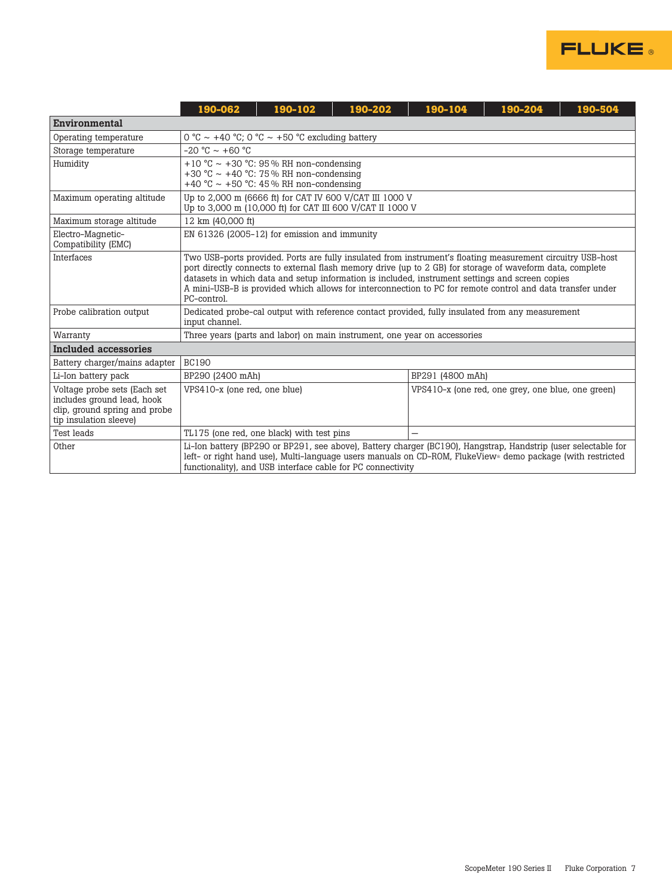

|                                                                                                                       | 190-062                                                                                                                                                                                                                                                                                                                                                                                                                                                  | 190-102                                                                                                                      | 190-202 | 190-104 | 190-204                                           | 190-504 |  |
|-----------------------------------------------------------------------------------------------------------------------|----------------------------------------------------------------------------------------------------------------------------------------------------------------------------------------------------------------------------------------------------------------------------------------------------------------------------------------------------------------------------------------------------------------------------------------------------------|------------------------------------------------------------------------------------------------------------------------------|---------|---------|---------------------------------------------------|---------|--|
| <b>Environmental</b>                                                                                                  |                                                                                                                                                                                                                                                                                                                                                                                                                                                          |                                                                                                                              |         |         |                                                   |         |  |
| Operating temperature                                                                                                 | 0 °C ~ +40 °C; 0 °C ~ +50 °C excluding battery                                                                                                                                                                                                                                                                                                                                                                                                           |                                                                                                                              |         |         |                                                   |         |  |
| Storage temperature                                                                                                   | $-20$ °C $\sim$ +60 °C                                                                                                                                                                                                                                                                                                                                                                                                                                   |                                                                                                                              |         |         |                                                   |         |  |
| Humidity                                                                                                              |                                                                                                                                                                                                                                                                                                                                                                                                                                                          | +10 °C ~ +30 °C: 95 % RH non-condensing<br>+30 °C ~ +40 °C: 75 % RH non-condensing<br>+40 °C ~ +50 °C: 45% RH non-condensing |         |         |                                                   |         |  |
| Maximum operating altitude                                                                                            |                                                                                                                                                                                                                                                                                                                                                                                                                                                          | Up to 2,000 m (6666 ft) for CAT IV 600 V/CAT III 1000 V<br>Up to 3,000 m (10,000 ft) for CAT III 600 V/CAT II 1000 V         |         |         |                                                   |         |  |
| Maximum storage altitude                                                                                              | 12 km (40,000 ft)                                                                                                                                                                                                                                                                                                                                                                                                                                        |                                                                                                                              |         |         |                                                   |         |  |
| Electro-Magnetic-<br>Compatibility (EMC)                                                                              |                                                                                                                                                                                                                                                                                                                                                                                                                                                          | EN 61326 (2005-12) for emission and immunity                                                                                 |         |         |                                                   |         |  |
| <b>Interfaces</b>                                                                                                     | Two USB-ports provided. Ports are fully insulated from instrument's floating measurement circuitry USB-host<br>port directly connects to external flash memory drive (up to 2 GB) for storage of waveform data, complete<br>datasets in which data and setup information is included, instrument settings and screen copies<br>A mini-USB-B is provided which allows for interconnection to PC for remote control and data transfer under<br>PC-control. |                                                                                                                              |         |         |                                                   |         |  |
| Probe calibration output                                                                                              | Dedicated probe-cal output with reference contact provided, fully insulated from any measurement<br>input channel.                                                                                                                                                                                                                                                                                                                                       |                                                                                                                              |         |         |                                                   |         |  |
| Warranty                                                                                                              |                                                                                                                                                                                                                                                                                                                                                                                                                                                          | Three years (parts and labor) on main instrument, one year on accessories                                                    |         |         |                                                   |         |  |
| Included accessories                                                                                                  |                                                                                                                                                                                                                                                                                                                                                                                                                                                          |                                                                                                                              |         |         |                                                   |         |  |
| Battery charger/mains adapter                                                                                         | <b>BC190</b>                                                                                                                                                                                                                                                                                                                                                                                                                                             |                                                                                                                              |         |         |                                                   |         |  |
| Li-Ion battery pack                                                                                                   | BP290 (2400 mAh)<br>BP291 (4800 mAh)                                                                                                                                                                                                                                                                                                                                                                                                                     |                                                                                                                              |         |         |                                                   |         |  |
| Voltage probe sets (Each set<br>includes ground lead, hook<br>clip, ground spring and probe<br>tip insulation sleeve) | VPS410-x (one red, one blue)                                                                                                                                                                                                                                                                                                                                                                                                                             |                                                                                                                              |         |         | VPS410-x (one red, one grey, one blue, one green) |         |  |
| <b>Test leads</b>                                                                                                     | TL175 (one red, one black) with test pins                                                                                                                                                                                                                                                                                                                                                                                                                |                                                                                                                              |         |         |                                                   |         |  |
| Other                                                                                                                 | Li-Ion battery (BP290 or BP291, see above), Battery charger (BC190), Hangstrap, Handstrip (user selectable for<br>left- or right hand use), Multi-language users manuals on CD-ROM, FlukeView demo package (with restricted<br>functionality), and USB interface cable for PC connectivity                                                                                                                                                               |                                                                                                                              |         |         |                                                   |         |  |